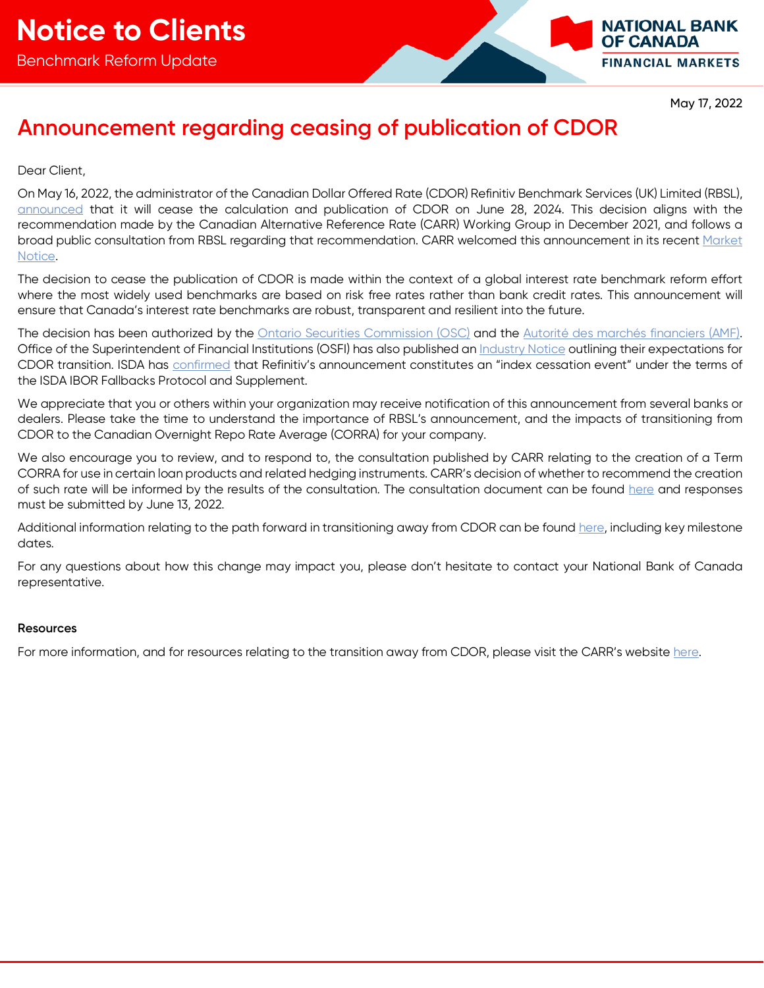

May 17, 2022

## **Announcement regarding ceasing of publication of CDOR**

## Dear Client,

On May 16, 2022, the administrator of the Canadian Dollar Offered Rate (CDOR) Refinitiv Benchmark Services (UK) Limited (RBSL), [announced](https://www.refinitiv.com/content/dam/marketing/en_us/documents/methodology/cdor-cessation-notice.pdf) that it will cease the calculation and publication of CDOR on June 28, 2024. This decision aligns with the recommendation made by the Canadian Alternative Reference Rate (CARR) Working Group in December 2021, and follows a broad public consultation from RBSL regarding that recommendation. CARR welcomed this announcement in its recent Market [Notice.](https://www.bankofcanada.ca/2022/05/carr-welcomes-rbsls-decision-to-cease-the-publication-of-cdor-after-june-28-2024/)

The decision to cease the publication of CDOR is made within the context of a global interest rate benchmark reform effort where the most widely used benchmarks are based on risk free rates rather than bank credit rates. This announcement will ensure that Canada's interest rate benchmarks are robust, transparent and resilient into the future.

The decision has been authorized by the [Ontario Securities Commission \(OSC\)](https://www.osc.ca/en/securities-law/orders-rulings-decisions/canadian-dollar-offered-rate-and-refinitiv-benchmark-services-uk-limited-1) and the [Autorité des marchés financiers \(AMF\).](https://lautorite.qc.ca/en/professionals/market-structures/designated-benchmarks-and-benchmarks-administrators) Office of the Superintendent of Financial Institutions (OSFI) has also published an *Industry Notice* outlining their expectations for CDOR transition. ISDA has [confirmed](https://www.isda.org/2022/05/16/isda-statement-on-rbsl-cdor-announcement/) that Refinitiv's announcement constitutes an "index cessation event" under the terms of the ISDA IBOR Fallbacks Protocol and Supplement.

We appreciate that you or others within your organization may receive notification of this announcement from several banks or dealers. Please take the time to understand the importance of RBSL's announcement, and the impacts of transitioning from CDOR to the Canadian Overnight Repo Rate Average (CORRA) for your company.

We also encourage you to review, and to respond to, the consultation published by CARR relating to the creation of a Term CORRA for use in certain loan products and related hedging instruments. CARR's decision of whether to recommend the creation of such rate will be informed by the results of the consultation. The consultation document can be found [here](https://www.bankofcanada.ca/wp-content/uploads/2022/05/consultation-document.pdf) and responses must be submitted by June 13, 2022.

Additional information relating to the path forward in transitioning away from CDOR can be found [here,](https://www.bankofcanada.ca/wp-content/uploads/2022/05/transition-roadmap.pdf) including key milestone dates.

For any questions about how this change may impact you, please don't hesitate to contact your National Bank of Canada representative.

### **Resources**

For more information, and for resources relating to the transition away from CDOR, please visit the CARR's website [here.](https://www.bankofcanada.ca/markets/canadian-alternative-reference-rate-working-group/)